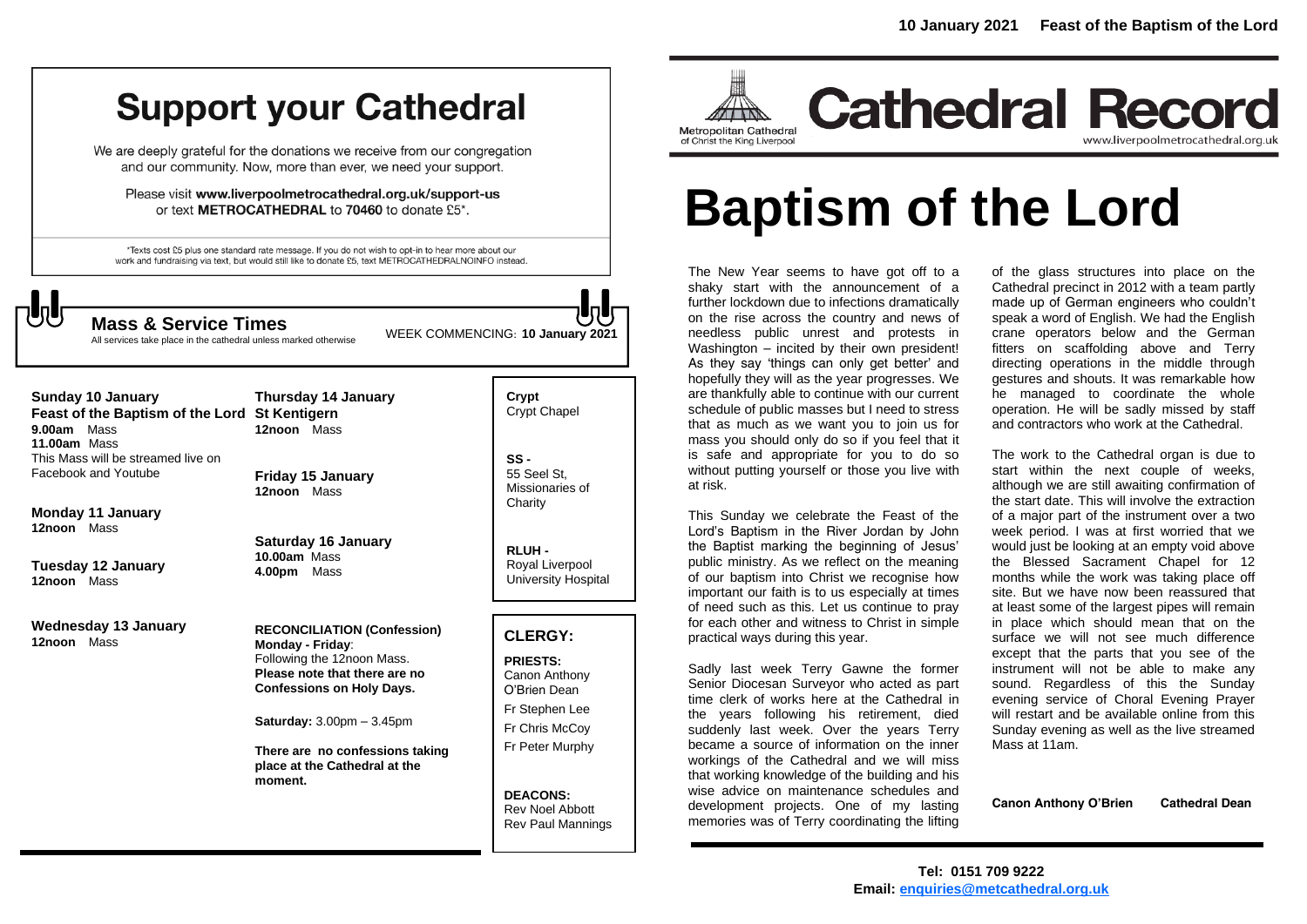## **Support your Cathedral**

We are deeply grateful for the donations we receive from our congregation and our community. Now, more than ever, we need your support.

Please visit www.liverpoolmetrocathedral.org.uk/support-us or text METROCATHEDRAL to 70460 to donate £5\*.

\*Texts cost £5 plus one standard rate message. If you do not wish to opt-in to hear more about our work and fundraising via text, but would still like to donate £5, text METROCATHEDRALNOINFO instead.



WEEK COMMENCING: **10 January 2021 Mass & Service Times**

**Crypt** 

All services take place in the cathedral unless marked otherwise

| Sunday 10 January<br>Feast of the Baptism of the Lord St Kentigern<br>Mass<br>9.00am<br>11.00am Mass<br>This Mass will be streamed live on<br>Facebook and Youtube | <b>Thursday 14 January</b><br>12noon Mass<br><b>Friday 15 January</b>                                                                                                                                                                                                                          |
|--------------------------------------------------------------------------------------------------------------------------------------------------------------------|------------------------------------------------------------------------------------------------------------------------------------------------------------------------------------------------------------------------------------------------------------------------------------------------|
| Monday 11 January<br>12noon Mass<br>Tuesday 12 January<br>12noon Mass                                                                                              | 12noon Mass<br>Saturday 16 January<br>$10.00am$ Mass<br>4.00pm Mass                                                                                                                                                                                                                            |
| Wednesday 13 January<br>12noon Mass                                                                                                                                | <b>RECONCILIATION (Confession)</b><br>Monday - Friday:<br>Following the 12noon Mass.<br>Please note that there are no<br><b>Confessions on Holy Days.</b><br><b>Saturday:</b> $3.00 \text{pm} - 3.45 \text{pm}$<br>There are no confessions taking<br>place at the Cathedral at the<br>moment. |

Crypt Chapel **SS -** 55 Seel St, Missionaries of **Charity RLUH -** Royal Liverpool University Hospital

#### **CLERGY:**

**PRIESTS:** Canon Anthony O'Brien *Dean* Fr Stephen Lee Fr Chris McCoy Fr Peter Murphy

**DEACONS:** Rev Noel Abbott Rev Paul Mannings



**Cathedral Record** www.liverpoolmetrocathedral.org.uk

# **Baptism of the Lord**

The New Year seems to have got off to a shaky start with the announcement of a further lockdown due to infections dramatically on the rise across the country and news of needless public unrest and protests in Washington – incited by their own president! As they say 'things can only get better' and hopefully they will as the year progresses. We are thankfully able to continue with our current schedule of public masses but I need to stress that as much as we want you to join us for mass you should only do so if you feel that it is safe and appropriate for you to do so without putting yourself or those you live with at risk.

This Sunday we celebrate the Feast of the Lord's Baptism in the River Jordan by John the Baptist marking the beginning of Jesus' public ministry. As we reflect on the meaning of our baptism into Christ we recognise how important our faith is to us especially at times of need such as this. Let us continue to pray for each other and witness to Christ in simple practical ways during this year.

Sadly last week Terry Gawne the former Senior Diocesan Surveyor who acted as part time clerk of works here at the Cathedral in the years following his retirement, died suddenly last week. Over the years Terry became a source of information on the inner workings of the Cathedral and we will miss that working knowledge of the building and his wise advice on maintenance schedules and development projects. One of my lasting memories was of Terry coordinating the lifting

of the glass structures into place on the Cathedral precinct in 2012 with a team partly made up of German engineers who couldn't speak a word of English. We had the English crane operators below and the German fitters on scaffolding above and Terry directing operations in the middle through gestures and shouts. It was remarkable how he managed to coordinate the whole operation. He will be sadly missed by staff and contractors who work at the Cathedral.

The work to the Cathedral organ is due to start within the next couple of weeks, although we are still awaiting confirmation of the start date. This will involve the extraction of a major part of the instrument over a two week period. I was at first worried that we would just be looking at an empty void above the Blessed Sacrament Chapel for 12 months while the work was taking place off site. But we have now been reassured that at least some of the largest pipes will remain in place which should mean that on the surface we will not see much difference except that the parts that you see of the instrument will not be able to make any sound. Regardless of this the Sunday evening service of Choral Evening Prayer will restart and be available online from this Sunday evening as well as the live streamed Mass at 11am.

**Canon Anthony O'Brien Cathedral Dean**